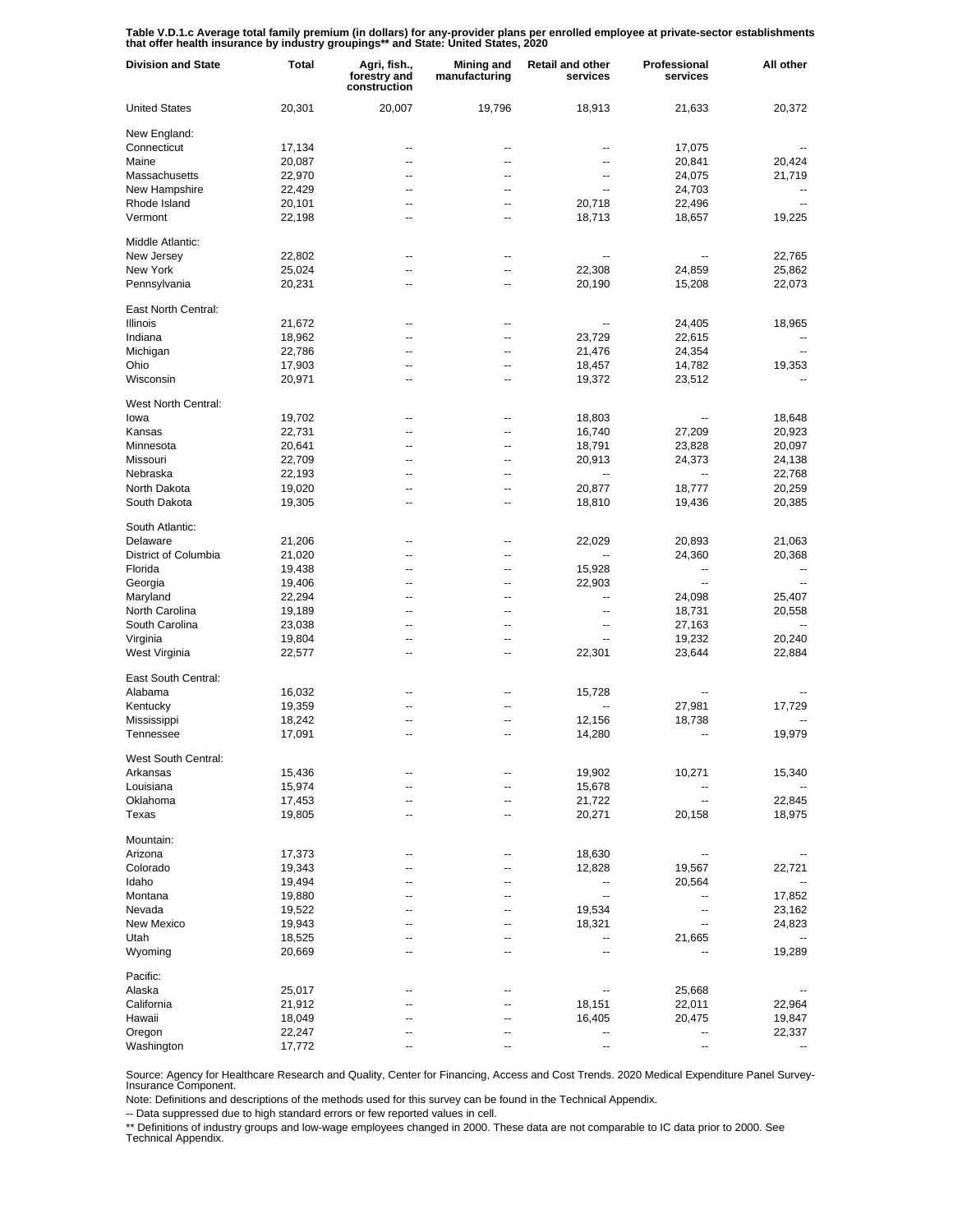Table V.D.1.c Average total family premium (in dollars) for any-provider plans per enrolled employee at private-sector establishments<br>that offer health insurance by industry groupings\*\* and State: United States, 2020

| <b>Division and State</b> | <b>Total</b> | Agri, fish.,<br>forestry and<br>construction | <b>Mining and</b><br>manufacturing | <b>Retail and other</b><br>services | Professional<br>services | All other                |
|---------------------------|--------------|----------------------------------------------|------------------------------------|-------------------------------------|--------------------------|--------------------------|
| <b>United States</b>      | 20,301       | 20,007                                       | 19,796                             | 18,913                              | 21,633                   | 20,372                   |
| New England:              |              |                                              |                                    |                                     |                          |                          |
| Connecticut               | 17,134       | --                                           |                                    | --                                  | 17,075                   |                          |
| Maine                     | 20,087       | --                                           | --                                 | --                                  | 20,841                   | 20,424                   |
| Massachusetts             | 22,970       | --                                           | $\overline{\phantom{a}}$           | --                                  | 24,075                   | 21,719                   |
| New Hampshire             | 22,429       | --                                           | --                                 | --                                  | 24,703                   |                          |
| Rhode Island              | 20,101       | --                                           | --                                 | 20,718                              | 22,496                   |                          |
| Vermont                   | 22,198       | --                                           | --                                 | 18,713                              | 18,657                   | 19,225                   |
| Middle Atlantic:          |              |                                              |                                    |                                     |                          |                          |
| New Jersey                | 22,802       | ٠.                                           |                                    |                                     |                          | 22,765                   |
| New York                  | 25,024       | ٠.                                           | --                                 | 22,308                              | 24,859                   | 25,862                   |
| Pennsylvania              | 20,231       | ٠.                                           | --                                 | 20,190                              | 15,208                   | 22,073                   |
| East North Central:       |              |                                              |                                    |                                     |                          |                          |
| Illinois                  | 21,672       | --                                           | --                                 | --                                  | 24,405                   | 18,965                   |
| Indiana                   | 18,962       | --                                           | --                                 | 23,729                              | 22,615                   |                          |
| Michigan                  | 22,786       | $\overline{a}$                               |                                    | 21,476                              | 24,354                   |                          |
| Ohio                      | 17,903       | --                                           | --                                 | 18,457                              | 14,782                   | 19,353                   |
| Wisconsin                 | 20,971       | ц,                                           |                                    | 19,372                              | 23,512                   |                          |
| West North Central:       |              |                                              |                                    |                                     |                          |                          |
| lowa                      | 19,702       | --                                           | --                                 | 18,803                              |                          | 18,648                   |
| Kansas                    | 22,731       | --                                           | --                                 | 16,740                              | 27,209                   | 20,923                   |
| Minnesota                 | 20,641       | --                                           | --                                 | 18,791                              | 23,828                   | 20,097                   |
| Missouri                  | 22,709       | --                                           | --                                 | 20,913                              | 24,373                   | 24,138                   |
| Nebraska                  | 22,193       | --                                           | --                                 |                                     |                          | 22,768                   |
| North Dakota              | 19,020       | --                                           | --                                 | 20,877                              | 18,777                   | 20,259                   |
| South Dakota              | 19,305       | --                                           | --                                 | 18,810                              | 19,436                   | 20,385                   |
| South Atlantic:           |              |                                              |                                    |                                     |                          |                          |
| Delaware                  | 21,206       | ٠.                                           |                                    | 22,029                              | 20,893                   | 21,063                   |
| District of Columbia      | 21,020       | ٠.                                           | --                                 |                                     | 24,360                   | 20,368                   |
| Florida                   | 19,438       | ٠.                                           |                                    | 15,928                              | --                       |                          |
| Georgia                   | 19,406       | ٠.                                           | --                                 | 22,903                              | $\overline{\phantom{a}}$ | $\overline{\phantom{a}}$ |
| Maryland                  | 22,294       | ٠.                                           | ٠.                                 | --                                  | 24,098                   | 25,407                   |
| North Carolina            | 19,189       | ٠.                                           | --                                 | --                                  | 18,731                   | 20,558                   |
| South Carolina            | 23,038       | ٠.                                           | --                                 | --                                  | 27,163                   |                          |
| Virginia                  | 19,804       | ٠.                                           | --                                 | --                                  | 19,232                   | 20,240                   |
| West Virginia             | 22,577       | ٠.                                           | --                                 | 22,301                              | 23,644                   | 22,884                   |
| East South Central:       |              |                                              |                                    |                                     |                          |                          |
| Alabama                   | 16,032       |                                              |                                    | 15,728                              |                          |                          |
| Kentucky                  | 19,359       | ц,                                           |                                    | --                                  | 27,981                   | 17,729                   |
| Mississippi               | 18,242       | --                                           |                                    | 12,156                              | 18,738                   |                          |
| Tennessee                 | 17,091       | $\overline{a}$                               | --                                 | 14,280                              | --                       | 19,979                   |
| West South Central:       |              |                                              |                                    |                                     |                          |                          |
| Arkansas                  | 15,436       |                                              |                                    | 19,902                              | 10,271                   | 15,340                   |
| Louisiana                 | 15,974       | --                                           |                                    | 15,678                              |                          |                          |
| Oklahoma                  | 17,453       |                                              |                                    | 21,722                              | -−                       | 22,845                   |
| Texas                     | 19,805       | --                                           |                                    | 20,271                              | 20,158                   | 18,975                   |
| Mountain:                 |              |                                              |                                    |                                     |                          |                          |
| Arizona                   | 17,373       |                                              |                                    | 18,630                              | --                       |                          |
| Colorado                  | 19,343       |                                              |                                    | 12,828                              | 19,567                   | 22,721                   |
| Idaho                     | 19,494       |                                              |                                    | --                                  | 20,564                   |                          |
| Montana                   | 19,880       |                                              |                                    | $\overline{\phantom{a}}$            |                          | 17,852                   |
| Nevada                    | 19,522       |                                              |                                    | 19,534                              | --                       | 23,162                   |
| New Mexico                | 19,943       |                                              |                                    | 18,321                              | --                       | 24,823                   |
| Utah                      | 18,525       |                                              |                                    | --                                  | 21,665                   |                          |
| Wyoming                   | 20,669       |                                              |                                    | --                                  |                          | 19,289                   |
| Pacific:                  |              |                                              |                                    |                                     |                          |                          |
| Alaska                    | 25,017       |                                              |                                    |                                     | 25,668                   |                          |
| California                | 21,912       |                                              |                                    | 18,151                              | 22,011                   | 22,964                   |
| Hawaii                    | 18,049       |                                              |                                    | 16,405                              | 20,475                   | 19,847                   |
| Oregon                    | 22,247       |                                              |                                    | --                                  | --                       | 22,337                   |
| Washington                | 17,772       |                                              |                                    |                                     |                          |                          |

Source: Agency for Healthcare Research and Quality, Center for Financing, Access and Cost Trends. 2020 Medical Expenditure Panel Survey-Insurance Component.

Note: Definitions and descriptions of the methods used for this survey can be found in the Technical Appendix.

-- Data suppressed due to high standard errors or few reported values in cell.

\*\* Definitions of industry groups and low-wage employees changed in 2000. These data are not comparable to IC data prior to 2000. See Technical Appendix.